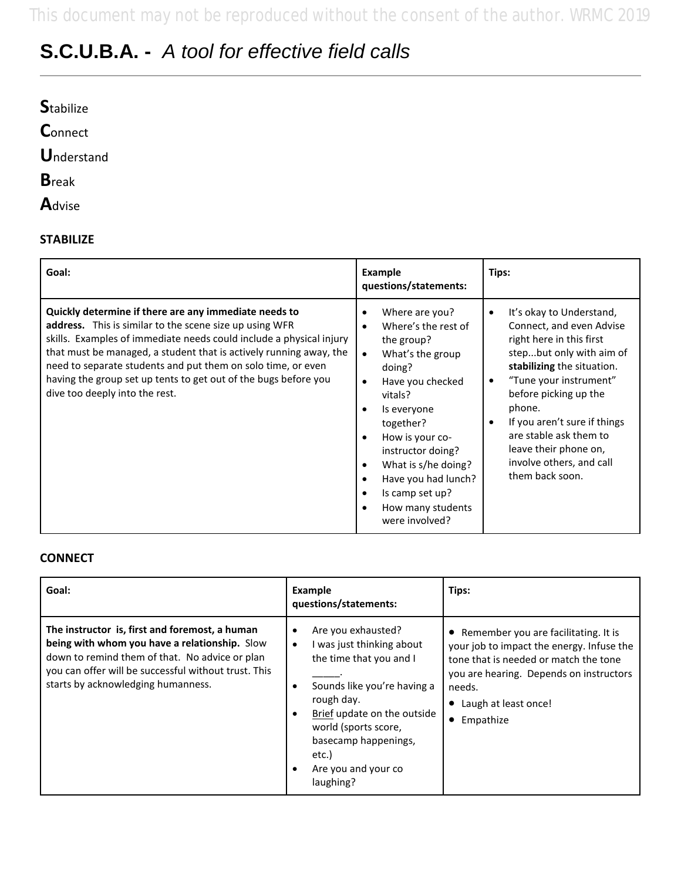# **S.C.U.B.A. -** *A tool for effective field calls*

| <b>Stabilize</b>   |  |  |  |
|--------------------|--|--|--|
| Connect            |  |  |  |
| <b>U</b> nderstand |  |  |  |
| <b>B</b> reak      |  |  |  |
| Advise             |  |  |  |

#### **STABILIZE**

| Goal:                                                                                                                                                                                                                                                                                                                                                                                                                              | <b>Example</b><br>questions/statements:                                                                                                                                                                                                                                                                                                                                                                                        | Tips:                                                                                                                                                                                                                                                                                                                                                            |
|------------------------------------------------------------------------------------------------------------------------------------------------------------------------------------------------------------------------------------------------------------------------------------------------------------------------------------------------------------------------------------------------------------------------------------|--------------------------------------------------------------------------------------------------------------------------------------------------------------------------------------------------------------------------------------------------------------------------------------------------------------------------------------------------------------------------------------------------------------------------------|------------------------------------------------------------------------------------------------------------------------------------------------------------------------------------------------------------------------------------------------------------------------------------------------------------------------------------------------------------------|
| Quickly determine if there are any immediate needs to<br>address. This is similar to the scene size up using WFR<br>skills. Examples of immediate needs could include a physical injury<br>that must be managed, a student that is actively running away, the<br>need to separate students and put them on solo time, or even<br>having the group set up tents to get out of the bugs before you<br>dive too deeply into the rest. | Where are you?<br>$\bullet$<br>Where's the rest of<br>$\bullet$<br>the group?<br>What's the group<br>$\bullet$<br>doing?<br>Have you checked<br>$\bullet$<br>vitals?<br>Is everyone<br>$\bullet$<br>together?<br>How is your co-<br>$\bullet$<br>instructor doing?<br>What is s/he doing?<br>$\bullet$<br>Have you had lunch?<br>$\bullet$<br>Is camp set up?<br>$\bullet$<br>How many students<br>$\bullet$<br>were involved? | It's okay to Understand,<br>$\bullet$<br>Connect, and even Advise<br>right here in this first<br>stepbut only with aim of<br>stabilizing the situation.<br>"Tune your instrument"<br>٠<br>before picking up the<br>phone.<br>If you aren't sure if things<br>٠<br>are stable ask them to<br>leave their phone on,<br>involve others, and call<br>them back soon. |

#### **CONNECT**

| Goal:                                                                                                                                                                                                                                           | Example<br>questions/statements:                                                                                                                                                                                                                    | Tips:                                                                                                                                                                                                                  |
|-------------------------------------------------------------------------------------------------------------------------------------------------------------------------------------------------------------------------------------------------|-----------------------------------------------------------------------------------------------------------------------------------------------------------------------------------------------------------------------------------------------------|------------------------------------------------------------------------------------------------------------------------------------------------------------------------------------------------------------------------|
| The instructor is, first and foremost, a human<br>being with whom you have a relationship. Slow<br>down to remind them of that. No advice or plan<br>you can offer will be successful without trust. This<br>starts by acknowledging humanness. | Are you exhausted?<br>I was just thinking about<br>the time that you and I<br>Sounds like you're having a<br>rough day.<br>Brief update on the outside<br>world (sports score,<br>basecamp happenings,<br>etc.)<br>Are you and your co<br>laughing? | • Remember you are facilitating. It is<br>your job to impact the energy. Infuse the<br>tone that is needed or match the tone<br>you are hearing. Depends on instructors<br>needs.<br>Laugh at least once!<br>Empathize |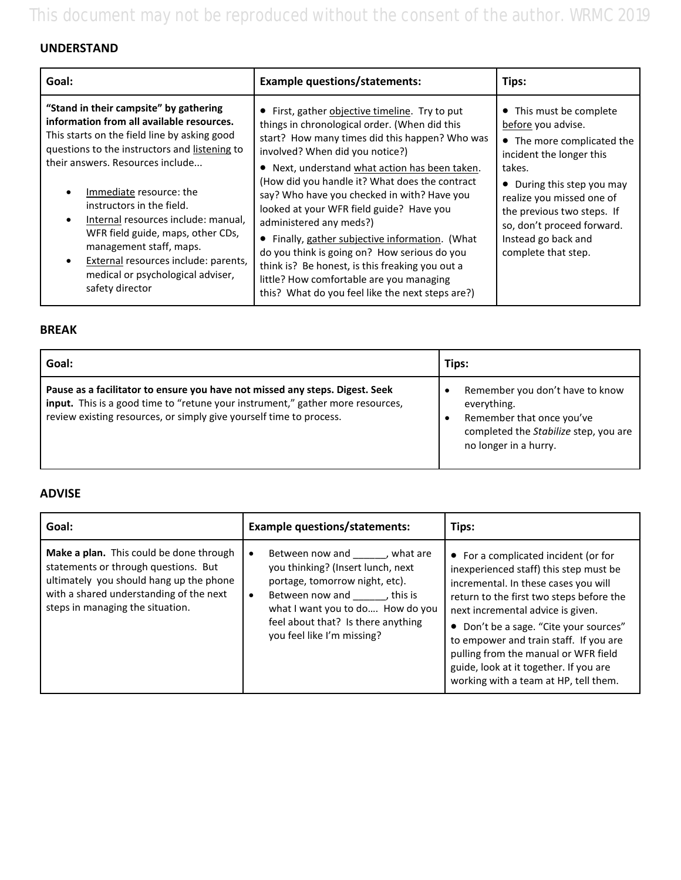This document may not be reproduced without the consent of the author. WRMC 2019

### **UNDERSTAND**

| Goal:                                                                                                                                                                                                                                                                                                                                                                                                                                                                                   | <b>Example questions/statements:</b>                                                                                                                                                                                                                                                                                                                                                                                                                                                                                                                                                                                                                             | Tips:                                                                                                                                                                                                                                                                                  |
|-----------------------------------------------------------------------------------------------------------------------------------------------------------------------------------------------------------------------------------------------------------------------------------------------------------------------------------------------------------------------------------------------------------------------------------------------------------------------------------------|------------------------------------------------------------------------------------------------------------------------------------------------------------------------------------------------------------------------------------------------------------------------------------------------------------------------------------------------------------------------------------------------------------------------------------------------------------------------------------------------------------------------------------------------------------------------------------------------------------------------------------------------------------------|----------------------------------------------------------------------------------------------------------------------------------------------------------------------------------------------------------------------------------------------------------------------------------------|
| "Stand in their campsite" by gathering<br>information from all available resources.<br>This starts on the field line by asking good<br>questions to the instructors and listening to<br>their answers. Resources include<br>Immediate resource: the<br>instructors in the field.<br>Internal resources include: manual,<br>WFR field guide, maps, other CDs,<br>management staff, maps.<br>External resources include: parents,<br>medical or psychological adviser,<br>safety director | • First, gather objective timeline. Try to put<br>things in chronological order. (When did this<br>start? How many times did this happen? Who was<br>involved? When did you notice?)<br>Next, understand what action has been taken.<br>(How did you handle it? What does the contract<br>say? Who have you checked in with? Have you<br>looked at your WFR field guide? Have you<br>administered any meds?)<br>Finally, gather subjective information. (What<br>do you think is going on? How serious do you<br>think is? Be honest, is this freaking you out a<br>little? How comfortable are you managing<br>this? What do you feel like the next steps are?) | • This must be complete<br>before you advise.<br>• The more complicated the<br>incident the longer this<br>takes.<br>• During this step you may<br>realize you missed one of<br>the previous two steps. If<br>so, don't proceed forward.<br>Instead go back and<br>complete that step. |

#### **BREAK**

| Goal:                                                                                                                                                                                                                                 | Tips:                                                                                                                                         |
|---------------------------------------------------------------------------------------------------------------------------------------------------------------------------------------------------------------------------------------|-----------------------------------------------------------------------------------------------------------------------------------------------|
| Pause as a facilitator to ensure you have not missed any steps. Digest. Seek<br>input. This is a good time to "retune your instrument," gather more resources,<br>review existing resources, or simply give yourself time to process. | Remember you don't have to know<br>everything.<br>Remember that once you've<br>completed the Stabilize step, you are<br>no longer in a hurry. |

#### **ADVISE**

| Goal:                                                                                                                                                                                                     | <b>Example questions/statements:</b>                                                                                                                                                                                                                               | Tips:                                                                                                                                                                                                                                                                                                                                                                                                                  |
|-----------------------------------------------------------------------------------------------------------------------------------------------------------------------------------------------------------|--------------------------------------------------------------------------------------------------------------------------------------------------------------------------------------------------------------------------------------------------------------------|------------------------------------------------------------------------------------------------------------------------------------------------------------------------------------------------------------------------------------------------------------------------------------------------------------------------------------------------------------------------------------------------------------------------|
| Make a plan. This could be done through<br>statements or through questions. But<br>ultimately you should hang up the phone<br>with a shared understanding of the next<br>steps in managing the situation. | Between now and fight what are<br>$\bullet$<br>you thinking? (Insert lunch, next<br>portage, tomorrow night, etc).<br>Between now and this is<br>$\bullet$<br>what I want you to do How do you<br>feel about that? Is there anything<br>you feel like I'm missing? | • For a complicated incident (or for<br>inexperienced staff) this step must be<br>incremental. In these cases you will<br>return to the first two steps before the<br>next incremental advice is given.<br>• Don't be a sage. "Cite your sources"<br>to empower and train staff. If you are<br>pulling from the manual or WFR field<br>guide, look at it together. If you are<br>working with a team at HP, tell them. |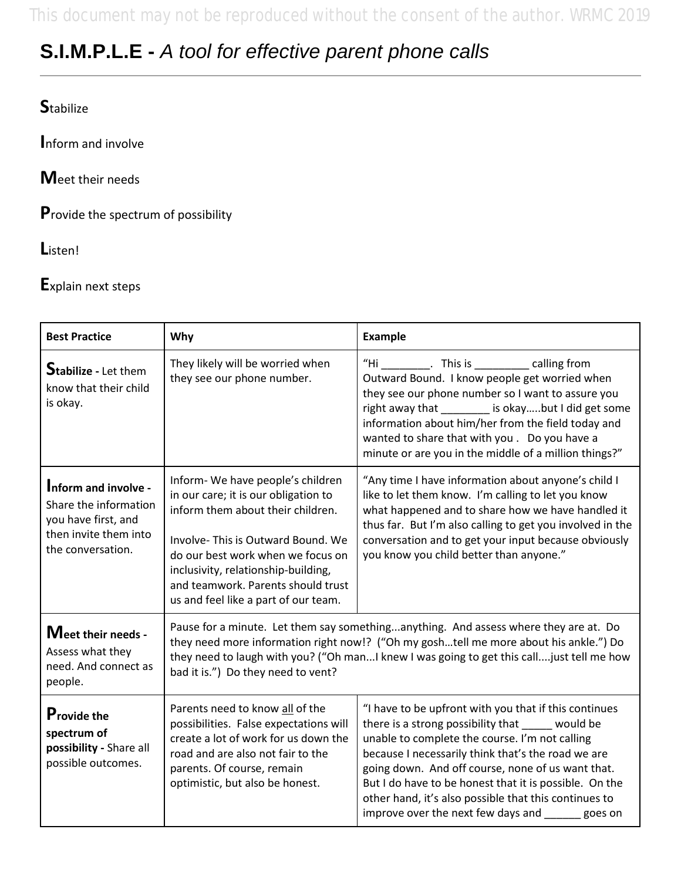This document may not be reproduced without the consent of the author. WRMC 2019

## **S.I.M.P.L.E -** *A tool for effective parent phone calls*

### **S**tabilize

**I**nform and involve

**M**eet their needs

**P**rovide the spectrum of possibility

**L**isten!

**E**xplain next steps

| <b>Best Practice</b>                                                                                               | Why                                                                                                                                                                                                                                                                                                               | <b>Example</b>                                                                                                                                                                                                                                                                                                                                                                                                                                  |  |
|--------------------------------------------------------------------------------------------------------------------|-------------------------------------------------------------------------------------------------------------------------------------------------------------------------------------------------------------------------------------------------------------------------------------------------------------------|-------------------------------------------------------------------------------------------------------------------------------------------------------------------------------------------------------------------------------------------------------------------------------------------------------------------------------------------------------------------------------------------------------------------------------------------------|--|
| <b>Stabilize - Let them</b><br>know that their child<br>is okay.                                                   | They likely will be worried when<br>they see our phone number.                                                                                                                                                                                                                                                    | "Hi __________. This is ___________ calling from<br>Outward Bound. I know people get worried when<br>they see our phone number so I want to assure you<br>right away that ________ is okaybut I did get some<br>information about him/her from the field today and<br>wanted to share that with you. Do you have a<br>minute or are you in the middle of a million things?"                                                                     |  |
| Inform and involve -<br>Share the information<br>you have first, and<br>then invite them into<br>the conversation. | Inform-We have people's children<br>in our care; it is our obligation to<br>inform them about their children.<br>Involve-This is Outward Bound. We<br>do our best work when we focus on<br>inclusivity, relationship-building,<br>and teamwork. Parents should trust<br>us and feel like a part of our team.      | "Any time I have information about anyone's child I<br>like to let them know. I'm calling to let you know<br>what happened and to share how we have handled it<br>thus far. But I'm also calling to get you involved in the<br>conversation and to get your input because obviously<br>you know you child better than anyone."                                                                                                                  |  |
| Meet their needs -<br>Assess what they<br>need. And connect as<br>people.                                          | Pause for a minute. Let them say somethinganything. And assess where they are at. Do<br>they need more information right now!? ("Oh my goshtell me more about his ankle.") Do<br>they need to laugh with you? ("Oh man I knew I was going to get this call just tell me how<br>bad it is.") Do they need to vent? |                                                                                                                                                                                                                                                                                                                                                                                                                                                 |  |
| <b>Provide the</b><br>spectrum of<br>possibility - Share all<br>possible outcomes.                                 | Parents need to know all of the<br>possibilities. False expectations will<br>create a lot of work for us down the<br>road and are also not fair to the<br>parents. Of course, remain<br>optimistic, but also be honest.                                                                                           | "I have to be upfront with you that if this continues<br>there is a strong possibility that _____ would be<br>unable to complete the course. I'm not calling<br>because I necessarily think that's the road we are<br>going down. And off course, none of us want that.<br>But I do have to be honest that it is possible. On the<br>other hand, it's also possible that this continues to<br>improve over the next few days and ______ goes on |  |